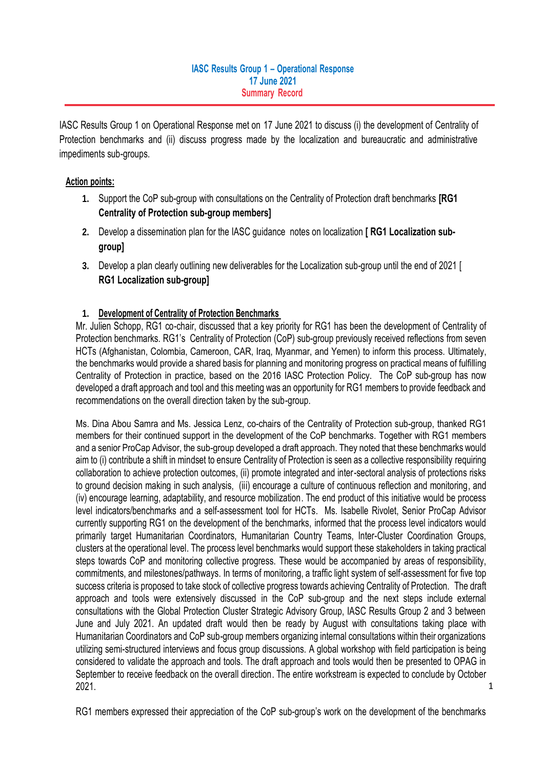### **IASC Results Group 1 – Operational Response 17 June 2021 Summary Record**

IASC Results Group 1 on Operational Response met on 17 June 2021 to discuss (i) the development of Centrality of Protection benchmarks and (ii) discuss progress made by the localization and bureaucratic and administrative impediments sub-groups.

### **Action points:**

- **1.** Support the CoP sub-group with consultations on the Centrality of Protection draft benchmarks **[RG1 Centrality of Protection sub-group members]**
- **2.** Develop a dissemination plan for the IASC guidance notes on localization **[ RG1 Localization subgroup]**
- **3.** Develop a plan clearly outlining new deliverables for the Localization sub-group until the end of 2021 [ **RG1 Localization sub-group]**

## **1. Development of Centrality of Protection Benchmarks**

Mr. Julien Schopp, RG1 co-chair, discussed that a key priority for RG1 has been the development of Centrality of Protection benchmarks. RG1's Centrality of Protection (CoP) sub-group previously received reflections from seven HCTs (Afghanistan, Colombia, Cameroon, CAR, Iraq, Myanmar, and Yemen) to inform this process. Ultimately, the benchmarks would provide a shared basis for planning and monitoring progress on practical means of fulfilling Centrality of Protection in practice, based on the 2016 IASC Protection Policy. The CoP sub-group has now developed a draft approach and tool and this meeting was an opportunity for RG1 members to provide feedback and recommendations on the overall direction taken by the sub-group.

1 Ms. Dina Abou Samra and Ms. Jessica Lenz, co-chairs of the Centrality of Protection sub-group, thanked RG1 members for their continued support in the development of the CoP benchmarks. Together with RG1 members and a senior ProCap Advisor, the sub-group developed a draft approach. They noted that these benchmarks would aim to (i) contribute a shift in mindset to ensure Centrality of Protection is seen as a collective responsibility requiring collaboration to achieve protection outcomes, (ii) promote integrated and inter-sectoral analysis of protections risks to ground decision making in such analysis. (iii) encourage a culture of continuous reflection and monitoring, and (iv) encourage learning, adaptability, and resource mobilization. The end product of this initiative would be process level indicators/benchmarks and a self-assessment tool for HCTs. Ms. Isabelle Rivolet, Senior ProCap Advisor currently supporting RG1 on the development of the benchmarks, informed that the process level indicators would primarily target Humanitarian Coordinators, Humanitarian Country Teams, Inter-Cluster Coordination Groups, clusters at the operational level. The process level benchmarks would support these stakeholders in taking practical steps towards CoP and monitoring collective progress. These would be accompanied by areas of responsibility, commitments, and milestones/pathways. In terms of monitoring, a traffic light system of self-assessment for five top success criteria is proposed to take stock of collective progress towards achieving Centrality of Protection. The draft approach and tools were extensively discussed in the CoP sub-group and the next steps include external consultations with the Global Protection Cluster Strategic Advisory Group, IASC Results Group 2 and 3 between June and July 2021. An updated draft would then be ready by August with consultations taking place with Humanitarian Coordinators and CoP sub-group members organizing internal consultations within their organizations utilizing semi-structured interviews and focus group discussions. A global workshop with field participation is being considered to validate the approach and tools. The draft approach and tools would then be presented to OPAG in September to receive feedback on the overall direction. The entire workstream is expected to conclude by October 2021.

RG1 members expressed their appreciation of the CoP sub-group's work on the development of the benchmarks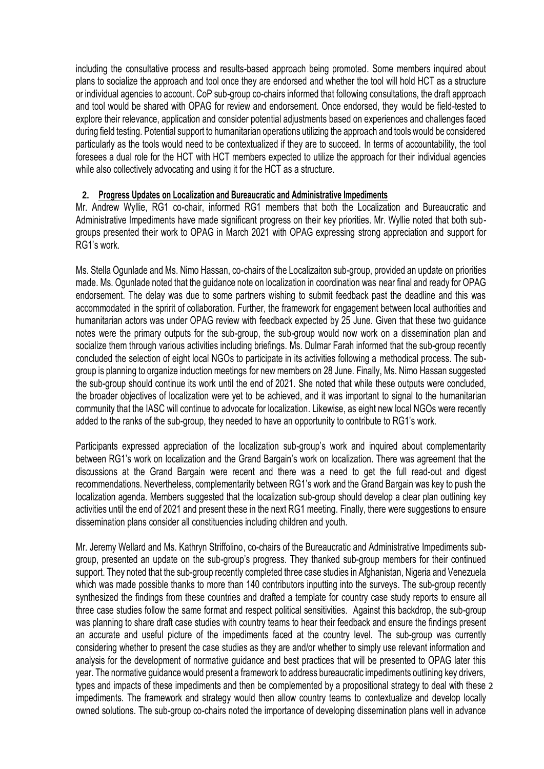including the consultative process and results-based approach being promoted. Some members inquired about plans to socialize the approach and tool once they are endorsed and whether the tool will hold HCT as a structure or individual agencies to account. CoP sub-group co-chairs informed that following consultations, the draft approach and tool would be shared with OPAG for review and endorsement. Once endorsed, they would be field-tested to explore their relevance, application and consider potential adjustments based on experiences and challenges faced during field testing. Potential support to humanitarian operations utilizing the approach and tools would be considered particularly as the tools would need to be contextualized if they are to succeed. In terms of accountability, the tool foresees a dual role for the HCT with HCT members expected to utilize the approach for their individual agencies while also collectively advocating and using it for the HCT as a structure.

### **2. Progress Updates on Localization and Bureaucratic and Administrative Impediments**

Mr. Andrew Wyllie, RG1 co-chair, informed RG1 members that both the Localization and Bureaucratic and Administrative Impediments have made significant progress on their key priorities. Mr. Wyllie noted that both subgroups presented their work to OPAG in March 2021 with OPAG expressing strong appreciation and support for RG1's work.

Ms. Stella Ogunlade and Ms. Nimo Hassan, co-chairs of the Localizaiton sub-group, provided an update on priorities made. Ms. Ogunlade noted that the guidance note on localization in coordination was near final and ready for OPAG endorsement. The delay was due to some partners wishing to submit feedback past the deadline and this was accommodated in the spririt of collaboration. Further, the framework for engagement between local authorities and humanitarian actors was under OPAG review with feedback expected by 25 June. Given that these two guidance notes were the primary outputs for the sub-group, the sub-group would now work on a dissemination plan and socialize them through various activities including briefings. Ms. Dulmar Farah informed that the sub-group recently concluded the selection of eight local NGOs to participate in its activities following a methodical process. The subgroup is planning to organize induction meetings for new members on 28 June. Finally, Ms. Nimo Hassan suggested the sub-group should continue its work until the end of 2021. She noted that while these outputs were concluded, the broader objectives of localization were yet to be achieved, and it was important to signal to the humanitarian community that the IASC will continue to advocate for localization. Likewise, as eight new local NGOs were recently added to the ranks of the sub-group, they needed to have an opportunity to contribute to RG1's work.

Participants expressed appreciation of the localization sub-group's work and inquired about complementarity between RG1's work on localization and the Grand Bargain's work on localization. There was agreement that the discussions at the Grand Bargain were recent and there was a need to get the full read-out and digest recommendations. Nevertheless, complementarity between RG1's work and the Grand Bargain was key to push the localization agenda. Members suggested that the localization sub-group should develop a clear plan outlining key activities until the end of 2021 and present these in the next RG1 meeting. Finally, there were suggestions to ensure dissemination plans consider all constituencies including children and youth.

2 types and impacts of these impediments and then be complemented by a propositional strategy to deal with these Mr. Jeremy Wellard and Ms. Kathryn Striffolino, co-chairs of the Bureaucratic and Administrative Impediments subgroup, presented an update on the sub-group's progress. They thanked sub-group members for their continued support. They noted that the sub-group recently completed three case studies in Afghanistan, Nigeria and Venezuela which was made possible thanks to more than 140 contributors inputting into the surveys. The sub-group recently synthesized the findings from these countries and drafted a template for country case study reports to ensure all three case studies follow the same format and respect political sensitivities. Against this backdrop, the sub-group was planning to share draft case studies with country teams to hear their feedback and ensure the findings present an accurate and useful picture of the impediments faced at the country level. The sub-group was currently considering whether to present the case studies as they are and/or whether to simply use relevant information and analysis for the development of normative guidance and best practices that will be presented to OPAG later this year. The normative guidance would present a framework to address bureaucratic impediments outlining key drivers, impediments. The framework and strategy would then allow country teams to contextualize and develop locally owned solutions. The sub-group co-chairs noted the importance of developing dissemination plans well in advance